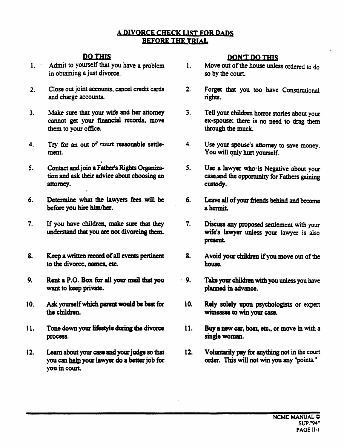### <u>A DIVORCE CHECK LIST FOR DADS</u> **BEFORE THE TRIAL**

# DO THIS

- 1. Admit to yourself that you have a problem in obtaining a just divorce.
- 2. Close out joint accounts, cancel credit cards and charge accounts.
- 3. Make sure that your wife and her attomey cannot get your financial records, move them to your office.
- 4. Try for an out of court reasonable settlement
- 5. Contact and join a Father's Rights Organiza tion and ask their advice about choosing an attomey.

•

- 6. Determine what the lawyers fees will be before you hire him/her.
- 7. If you have children, make sure that they understand that you are not divorcing them.
- 8. Keep a written record of all events pertinent to the divorce, names, etc.
- 9. Rent a P.O. Box for ail your mail that you want to keep private.
- 10. Ask yourselfwhich parent would be best for the children.
- 11. Tone down your lifestyle during the divorce process.
- 12. Learn about your case and your judge so that you can help your lawyer do a better job for you in court.

## **DON'T DO THIS**

- 1. Move out of the house unless ordered to do so by the court.
- 2. Forget that you too have Constitutional rights.
- 3. Tell your children horror stories about your ex-spouse; there is no need to drag them through the muck.
- 4. Use your spouse's attomey to save money. You will only hurt yourself.
- 5. Use a lawyer who-is Negative about your case, and the opportunity for Fathers gaining custody.
- 6. Leave all of your friends behind and become a hermit
- 7. Discuss any proposed settlement with your wife's lawyer unless your lawyer is also present
- 8. Avoid your children if you move out of the house.
- 9. Take your children with you unless you have planned in advance.
- 10. Rely solely upon psychologists or expert witnesses to win your case.
- 11. Buy a new car, boat, etc., or move in with a single woman.
- 12. Voluntarily pay for anydiing not in the court order. This will not win you any "points."